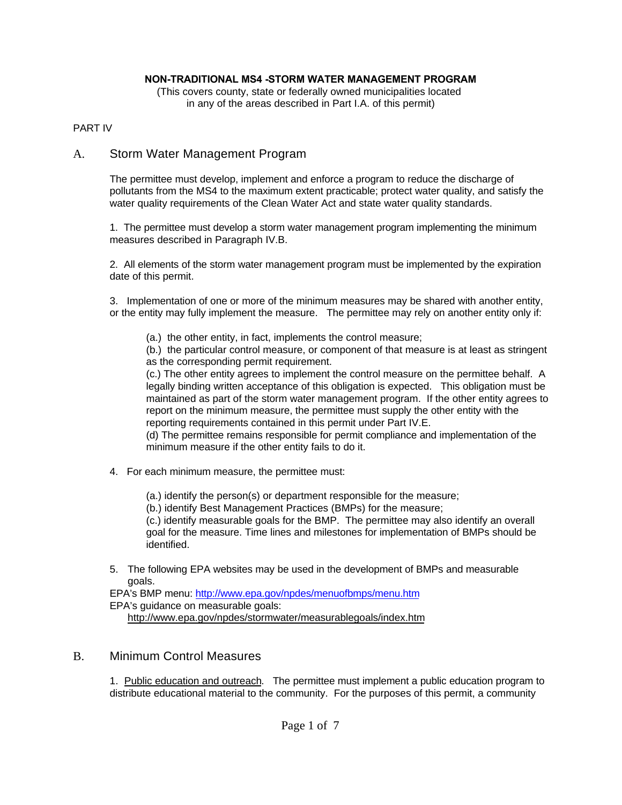## **NON-TRADITIONAL MS4 -STORM WATER MANAGEMENT PROGRAM**

(This covers county, state or federally owned municipalities located in any of the areas described in Part I.A. of this permit)

## PART IV

# A. Storm Water Management Program

The permittee must develop, implement and enforce a program to reduce the discharge of pollutants from the MS4 to the maximum extent practicable; protect water quality, and satisfy the water quality requirements of the Clean Water Act and state water quality standards.

1. The permittee must develop a storm water management program implementing the minimum measures described in Paragraph IV.B.

2. All elements of the storm water management program must be implemented by the expiration date of this permit.

3. Implementation of one or more of the minimum measures may be shared with another entity, or the entity may fully implement the measure. The permittee may rely on another entity only if:

(a.) the other entity, in fact, implements the control measure;

(b.) the particular control measure, or component of that measure is at least as stringent as the corresponding permit requirement.

(c.) The other entity agrees to implement the control measure on the permittee behalf. A legally binding written acceptance of this obligation is expected. This obligation must be maintained as part of the storm water management program. If the other entity agrees to report on the minimum measure, the permittee must supply the other entity with the reporting requirements contained in this permit under Part IV.E.

(d) The permittee remains responsible for permit compliance and implementation of the minimum measure if the other entity fails to do it.

- 4. For each minimum measure, the permittee must:
	- (a.) identify the person(s) or department responsible for the measure;
	- (b.) identify Best Management Practices (BMPs) for the measure;

(c.) identify measurable goals for the BMP. The permittee may also identify an overall goal for the measure. Time lines and milestones for implementation of BMPs should be identified.

5. The following EPA websites may be used in the development of BMPs and measurable goals.

EPA's BMP menu: http://www.epa.gov/npdes/menuofbmps/menu.htm EPA's guidance on measurable goals: http://www.epa.gov/npdes/stormwater/measurablegoals/index.htm

# B. Minimum Control Measures

1. Public education and outreach. The permittee must implement a public education program to distribute educational material to the community. For the purposes of this permit, a community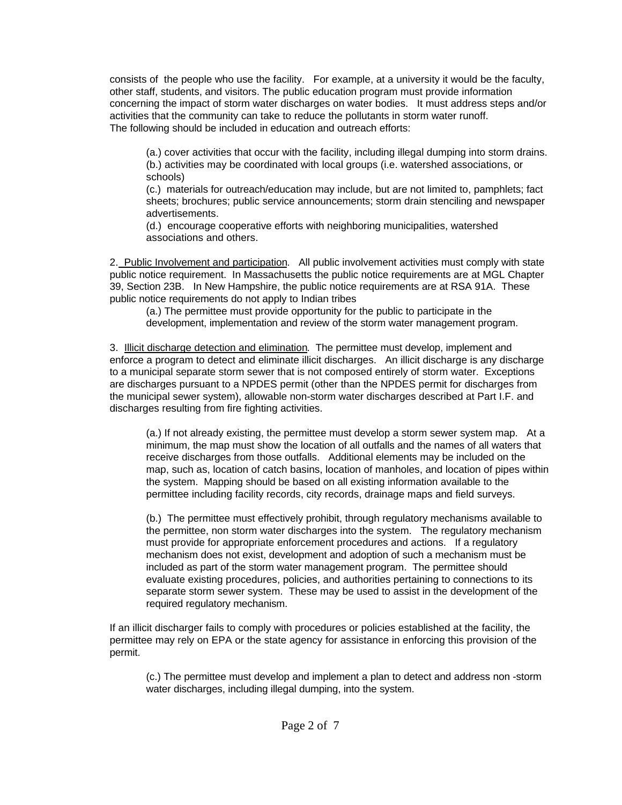consists of the people who use the facility. For example, at a university it would be the faculty, other staff, students, and visitors. The public education program must provide information concerning the impact of storm water discharges on water bodies. It must address steps and/or activities that the community can take to reduce the pollutants in storm water runoff. The following should be included in education and outreach efforts:

(a.) cover activities that occur with the facility, including illegal dumping into storm drains. (b.) activities may be coordinated with local groups (i.e. watershed associations, or schools)

(c.) materials for outreach/education may include, but are not limited to, pamphlets; fact sheets; brochures; public service announcements; storm drain stenciling and newspaper advertisements.

(d.) encourage cooperative efforts with neighboring municipalities, watershed associations and others.

2. Public Involvement and participation. All public involvement activities must comply with state public notice requirement. In Massachusetts the public notice requirements are at MGL Chapter 39, Section 23B. In New Hampshire, the public notice requirements are at RSA 91A. These public notice requirements do not apply to Indian tribes

(a.) The permittee must provide opportunity for the public to participate in the development, implementation and review of the storm water management program.

3. Illicit discharge detection and elimination. The permittee must develop, implement and enforce a program to detect and eliminate illicit discharges. An illicit discharge is any discharge to a municipal separate storm sewer that is not composed entirely of storm water. Exceptions are discharges pursuant to a NPDES permit (other than the NPDES permit for discharges from the municipal sewer system), allowable non-storm water discharges described at Part I.F. and discharges resulting from fire fighting activities.

(a.) If not already existing, the permittee must develop a storm sewer system map. At a minimum, the map must show the location of all outfalls and the names of all waters that receive discharges from those outfalls. Additional elements may be included on the map, such as, location of catch basins, location of manholes, and location of pipes within the system. Mapping should be based on all existing information available to the permittee including facility records, city records, drainage maps and field surveys.

(b.) The permittee must effectively prohibit, through regulatory mechanisms available to the permittee, non storm water discharges into the system. The regulatory mechanism must provide for appropriate enforcement procedures and actions. If a regulatory mechanism does not exist, development and adoption of such a mechanism must be included as part of the storm water management program. The permittee should evaluate existing procedures, policies, and authorities pertaining to connections to its separate storm sewer system. These may be used to assist in the development of the required regulatory mechanism.

If an illicit discharger fails to comply with procedures or policies established at the facility, the permittee may rely on EPA or the state agency for assistance in enforcing this provision of the permit.

(c.) The permittee must develop and implement a plan to detect and address non -storm water discharges, including illegal dumping, into the system.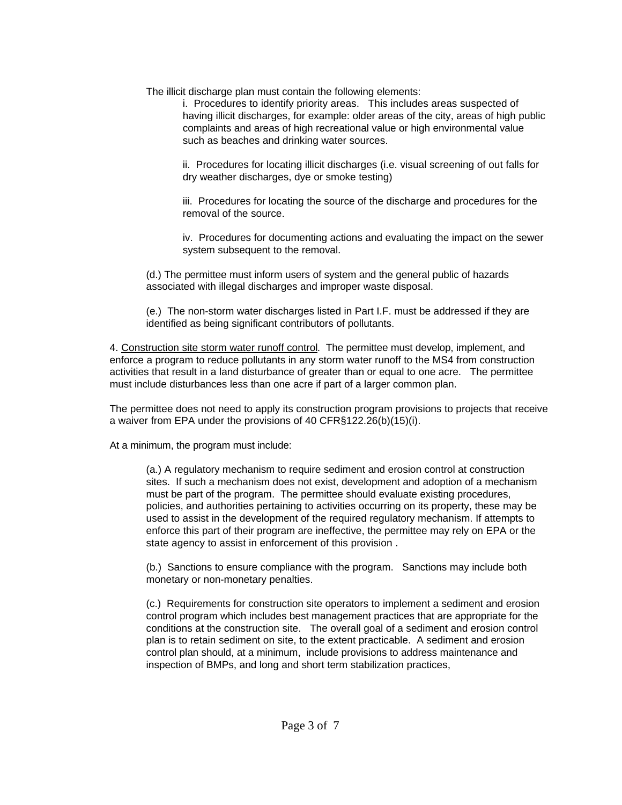The illicit discharge plan must contain the following elements:

i. Procedures to identify priority areas. This includes areas suspected of having illicit discharges, for example: older areas of the city, areas of high public complaints and areas of high recreational value or high environmental value such as beaches and drinking water sources.

ii. Procedures for locating illicit discharges (i.e. visual screening of out falls for dry weather discharges, dye or smoke testing)

iii. Procedures for locating the source of the discharge and procedures for the removal of the source.

iv. Procedures for documenting actions and evaluating the impact on the sewer system subsequent to the removal.

(d.) The permittee must inform users of system and the general public of hazards associated with illegal discharges and improper waste disposal.

(e.) The non-storm water discharges listed in Part I.F. must be addressed if they are identified as being significant contributors of pollutants.

4. Construction site storm water runoff control. The permittee must develop, implement, and enforce a program to reduce pollutants in any storm water runoff to the MS4 from construction activities that result in a land disturbance of greater than or equal to one acre. The permittee must include disturbances less than one acre if part of a larger common plan.

The permittee does not need to apply its construction program provisions to projects that receive a waiver from EPA under the provisions of 40 CFR§122.26(b)(15)(i).

At a minimum, the program must include:

(a.) A regulatory mechanism to require sediment and erosion control at construction sites. If such a mechanism does not exist, development and adoption of a mechanism must be part of the program. The permittee should evaluate existing procedures, policies, and authorities pertaining to activities occurring on its property, these may be used to assist in the development of the required regulatory mechanism. If attempts to enforce this part of their program are ineffective, the permittee may rely on EPA or the state agency to assist in enforcement of this provision .

(b.) Sanctions to ensure compliance with the program. Sanctions may include both monetary or non-monetary penalties.

(c.) Requirements for construction site operators to implement a sediment and erosion control program which includes best management practices that are appropriate for the conditions at the construction site. The overall goal of a sediment and erosion control plan is to retain sediment on site, to the extent practicable. A sediment and erosion control plan should, at a minimum, include provisions to address maintenance and inspection of BMPs, and long and short term stabilization practices,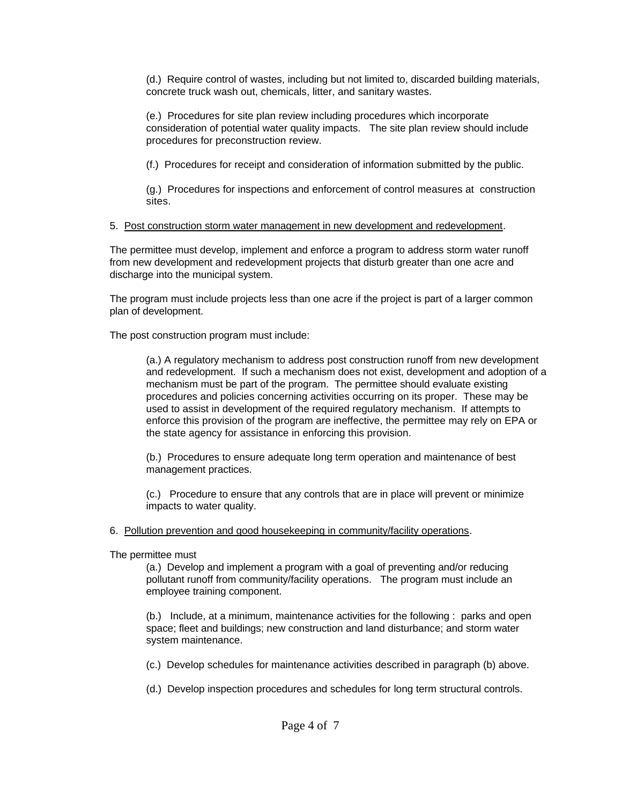(d.) Require control of wastes, including but not limited to, discarded building materials, concrete truck wash out, chemicals, litter, and sanitary wastes.

(e.) Procedures for site plan review including procedures which incorporate consideration of potential water quality impacts. The site plan review should include procedures for preconstruction review.

(f.) Procedures for receipt and consideration of information submitted by the public.

(g.) Procedures for inspections and enforcement of control measures at construction sites.

## 5. Post construction storm water management in new development and redevelopment.

The permittee must develop, implement and enforce a program to address storm water runoff from new development and redevelopment projects that disturb greater than one acre and discharge into the municipal system.

The program must include projects less than one acre if the project is part of a larger common plan of development.

The post construction program must include:

(a.) A regulatory mechanism to address post construction runoff from new development and redevelopment. If such a mechanism does not exist, development and adoption of a mechanism must be part of the program. The permittee should evaluate existing procedures and policies concerning activities occurring on its proper. These may be used to assist in development of the required regulatory mechanism. If attempts to enforce this provision of the program are ineffective, the permittee may rely on EPA or the state agency for assistance in enforcing this provision.

(b.) Procedures to ensure adequate long term operation and maintenance of best management practices.

(c.) Procedure to ensure that any controls that are in place will prevent or minimize impacts to water quality.

6. Pollution prevention and good housekeeping in community/facility operations.

The permittee must

(a.) Develop and implement a program with a goal of preventing and/or reducing pollutant runoff from community/facility operations. The program must include an employee training component.

(b.) Include, at a minimum, maintenance activities for the following : parks and open space; fleet and buildings; new construction and land disturbance; and storm water system maintenance.

(c.) Develop schedules for maintenance activities described in paragraph (b) above.

(d.) Develop inspection procedures and schedules for long term structural controls.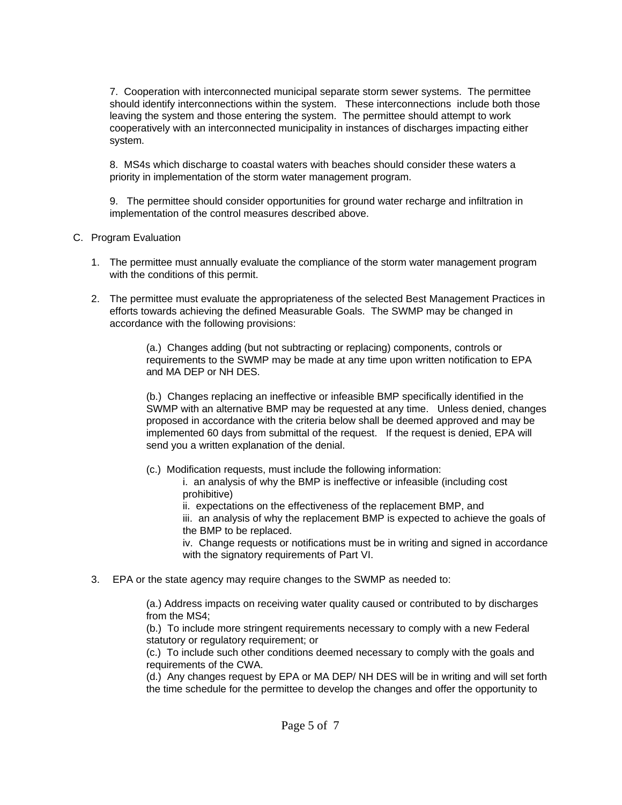7. Cooperation with interconnected municipal separate storm sewer systems. The permittee should identify interconnections within the system. These interconnections include both those leaving the system and those entering the system. The permittee should attempt to work cooperatively with an interconnected municipality in instances of discharges impacting either system.

8. MS4s which discharge to coastal waters with beaches should consider these waters a priority in implementation of the storm water management program.

9. The permittee should consider opportunities for ground water recharge and infiltration in implementation of the control measures described above.

## C. Program Evaluation

- 1. The permittee must annually evaluate the compliance of the storm water management program with the conditions of this permit.
- 2. The permittee must evaluate the appropriateness of the selected Best Management Practices in efforts towards achieving the defined Measurable Goals. The SWMP may be changed in accordance with the following provisions:

(a.) Changes adding (but not subtracting or replacing) components, controls or requirements to the SWMP may be made at any time upon written notification to EPA and MA DEP or NH DES.

(b.) Changes replacing an ineffective or infeasible BMP specifically identified in the SWMP with an alternative BMP may be requested at any time. Unless denied, changes proposed in accordance with the criteria below shall be deemed approved and may be implemented 60 days from submittal of the request. If the request is denied, EPA will send you a written explanation of the denial.

- (c.) Modification requests, must include the following information:
	- i. an analysis of why the BMP is ineffective or infeasible (including cost prohibitive)
	- ii. expectations on the effectiveness of the replacement BMP, and

iii. an analysis of why the replacement BMP is expected to achieve the goals of the BMP to be replaced.

iv. Change requests or notifications must be in writing and signed in accordance with the signatory requirements of Part VI.

3. EPA or the state agency may require changes to the SWMP as needed to:

(a.) Address impacts on receiving water quality caused or contributed to by discharges from the MS4;

(b.) To include more stringent requirements necessary to comply with a new Federal statutory or regulatory requirement; or

(c.) To include such other conditions deemed necessary to comply with the goals and requirements of the CWA.

(d.) Any changes request by EPA or MA DEP/ NH DES will be in writing and will set forth the time schedule for the permittee to develop the changes and offer the opportunity to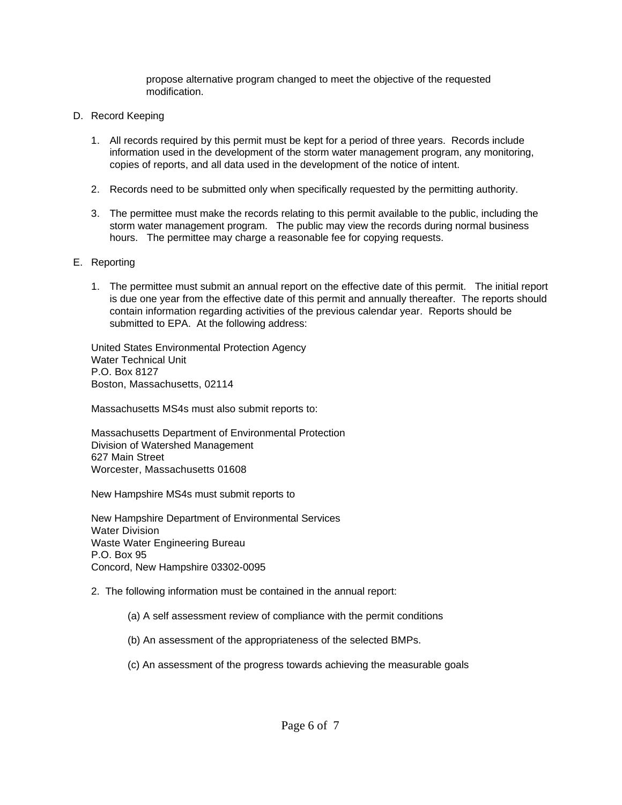propose alternative program changed to meet the objective of the requested modification.

- D. Record Keeping
	- 1. All records required by this permit must be kept for a period of three years. Records include information used in the development of the storm water management program, any monitoring, copies of reports, and all data used in the development of the notice of intent.
	- 2. Records need to be submitted only when specifically requested by the permitting authority.
	- 3. The permittee must make the records relating to this permit available to the public, including the storm water management program. The public may view the records during normal business hours. The permittee may charge a reasonable fee for copying requests.
- E. Reporting
	- 1. The permittee must submit an annual report on the effective date of this permit. The initial report is due one year from the effective date of this permit and annually thereafter. The reports should contain information regarding activities of the previous calendar year. Reports should be submitted to EPA. At the following address:

United States Environmental Protection Agency Water Technical Unit P.O. Box 8127 Boston, Massachusetts, 02114

Massachusetts MS4s must also submit reports to:

Massachusetts Department of Environmental Protection Division of Watershed Management 627 Main Street Worcester, Massachusetts 01608

New Hampshire MS4s must submit reports to

New Hampshire Department of Environmental Services Water Division Waste Water Engineering Bureau P.O. Box 95 Concord, New Hampshire 03302-0095

2. The following information must be contained in the annual report:

- (a) A self assessment review of compliance with the permit conditions
- (b) An assessment of the appropriateness of the selected BMPs.
- (c) An assessment of the progress towards achieving the measurable goals